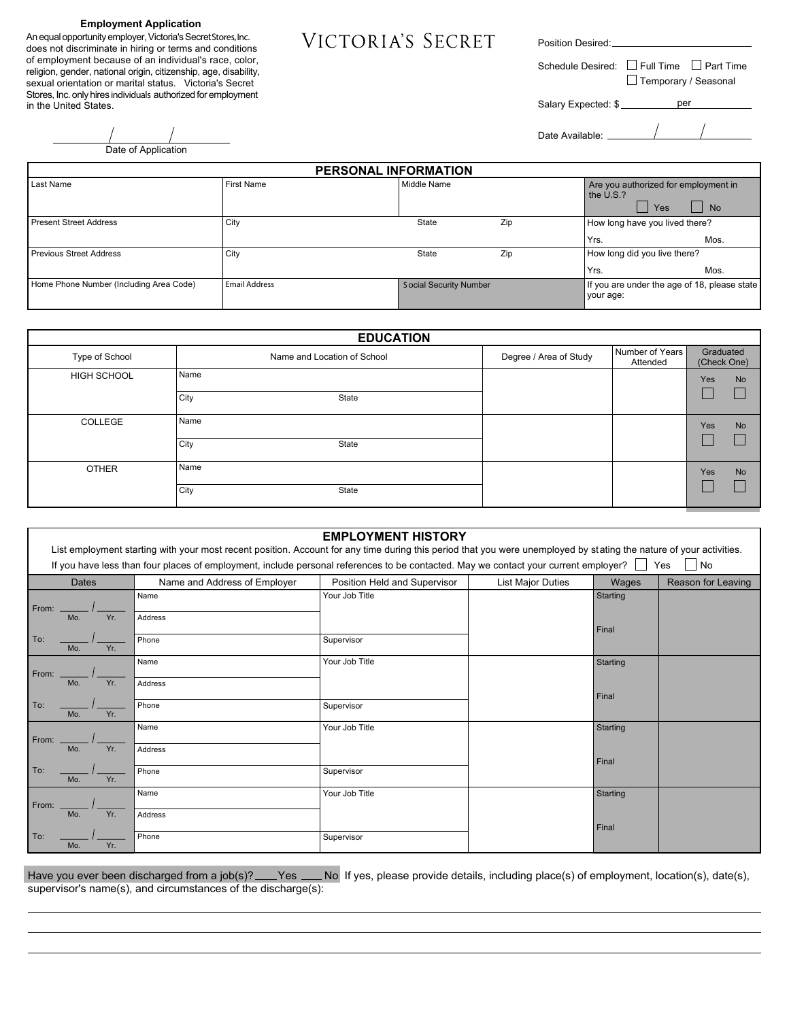#### **Employment Application**

An equal opportunity employer, Victoria's SecretStores, Inc. does not discriminate in hiring or terms and conditions of employment because of an individual's race, color, religion, gender, national origin, citizenship, age, disability, sexual orientation or marital status. Victoria's Secret Stores, Inc. only hires individuals authorized for employment in the United States.

Position Desired:

Schedule Desired:  $\Box$  Full Time  $\Box$  Part Time  $\square$  Temporary / Seasonal

Salary Expected: \$

Date Available:

| Date of Application |
|---------------------|

 $\overline{a}$ 

 $\overline{a}$ 

| <b>PERSONAL INFORMATION</b>             |                   |                               |     |                                                           |           |
|-----------------------------------------|-------------------|-------------------------------|-----|-----------------------------------------------------------|-----------|
| Last Name                               | <b>First Name</b> | Middle Name                   |     | Are you authorized for employment in<br>the U.S.?<br>Yes  | <b>No</b> |
| Present Street Address                  | City              | State                         | Zip | How long have you lived there?<br>Yrs.                    | Mos.      |
| Previous Street Address                 | City              | State                         | Zip | How long did you live there?<br>Yrs.                      | Mos.      |
| Home Phone Number (Including Area Code) | Email Address     | <b>Social Security Number</b> |     | If you are under the age of 18, please state<br>your age: |           |

|                    | <b>EDUCATION</b>            |                        |                             |                          |           |
|--------------------|-----------------------------|------------------------|-----------------------------|--------------------------|-----------|
| Type of School     | Name and Location of School | Degree / Area of Study | Number of Years<br>Attended | Graduated<br>(Check One) |           |
| <b>HIGH SCHOOL</b> | Name                        |                        |                             | Yes                      | <b>No</b> |
|                    | City<br>State               |                        |                             |                          |           |
| COLLEGE            | Name                        |                        |                             | Yes                      | <b>No</b> |
|                    | City<br>State               |                        |                             |                          |           |
| <b>OTHER</b>       | Name                        |                        |                             | Yes                      | No        |
|                    | City<br>State               |                        |                             |                          |           |

|       |              |     | List employment starting with your most recent position. Account for any time during this period that you were unemployed by stating the nature of your activities.<br>If you have less than four places of employment, include personal references to be contacted. May we contact your current employer? Secure 1 | <b>EMPLOYMENT HISTORY</b>    |                          |          | No                 |
|-------|--------------|-----|---------------------------------------------------------------------------------------------------------------------------------------------------------------------------------------------------------------------------------------------------------------------------------------------------------------------|------------------------------|--------------------------|----------|--------------------|
|       | <b>Dates</b> |     | Name and Address of Employer                                                                                                                                                                                                                                                                                        | Position Held and Supervisor | <b>List Major Duties</b> | Wages    | Reason for Leaving |
| From: |              |     | Name                                                                                                                                                                                                                                                                                                                | Your Job Title               |                          | Starting |                    |
|       | Mo.          | Yr. | Address                                                                                                                                                                                                                                                                                                             |                              |                          | Final    |                    |
| To:   | Mo.          | Yr. | Phone                                                                                                                                                                                                                                                                                                               | Supervisor                   |                          |          |                    |
| From: |              |     | Name                                                                                                                                                                                                                                                                                                                | Your Job Title               |                          | Starting |                    |
|       | Mo.          | Yr. | Address                                                                                                                                                                                                                                                                                                             |                              |                          | Final    |                    |
| To:   | Mo.          | Yr. | Phone                                                                                                                                                                                                                                                                                                               | Supervisor                   |                          |          |                    |
| From: |              |     | Name                                                                                                                                                                                                                                                                                                                | Your Job Title               |                          | Starting |                    |
|       | Mo.          | Yr. | Address                                                                                                                                                                                                                                                                                                             |                              |                          | Final    |                    |
| To:   | Mo.          | Yr. | Phone                                                                                                                                                                                                                                                                                                               | Supervisor                   |                          |          |                    |
| From: |              |     | Name                                                                                                                                                                                                                                                                                                                | Your Job Title               |                          | Starting |                    |
|       | Mo.          | Yr. | Address                                                                                                                                                                                                                                                                                                             |                              |                          | Final    |                    |
| To:   | Mo.          | Yr. | Phone                                                                                                                                                                                                                                                                                                               | Supervisor                   |                          |          |                    |

Have you ever been discharged from a job(s)? \_\_\_ Yes \_\_\_ No If yes, please provide details, including place(s) of employment, location(s), date(s), supervisor's name(s), and circumstances of the discharge(s):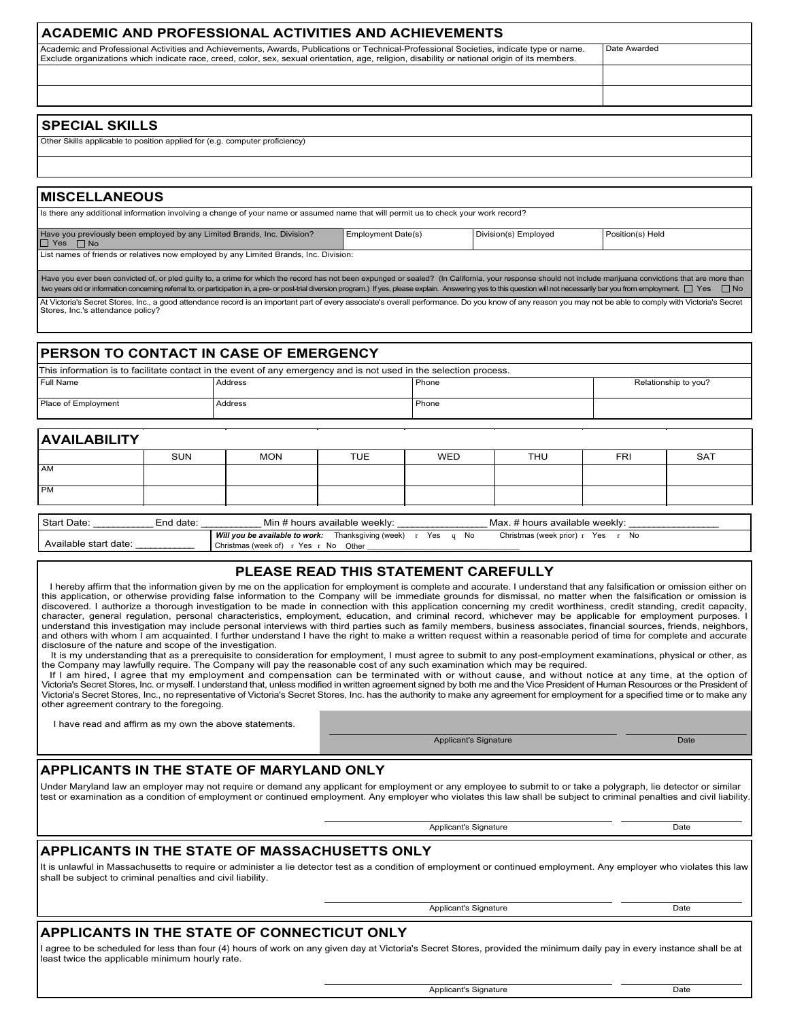| <b>ACADEMIC AND PROFESSIONAL ACTIVITIES AND ACHIEVEMENTS</b>                                                                                                                                                                                                                              |                |
|-------------------------------------------------------------------------------------------------------------------------------------------------------------------------------------------------------------------------------------------------------------------------------------------|----------------|
| Academic and Professional Activities and Achievements, Awards, Publications or Technical-Professional Societies, indicate type or name.<br>Exclude organizations which indicate race, creed, color, sex, sexual orientation, age, religion, disability or national origin of its members. | i Date Awarded |
|                                                                                                                                                                                                                                                                                           |                |
|                                                                                                                                                                                                                                                                                           |                |
|                                                                                                                                                                                                                                                                                           |                |
| <b>SPECIAL SKILLS</b>                                                                                                                                                                                                                                                                     |                |

#### Other Skills applicable to position applied for (e.g. computer proficiency)

#### **MISCELLANEOUS**

| Is there any additional information involving a change of your name or assumed name that will permit us to check your work record?                                                                                                                                                                                                                                                                                                            |                           |                      |                  |
|-----------------------------------------------------------------------------------------------------------------------------------------------------------------------------------------------------------------------------------------------------------------------------------------------------------------------------------------------------------------------------------------------------------------------------------------------|---------------------------|----------------------|------------------|
| Have you previously been employed by any Limited Brands, Inc. Division?<br>$\Box$ Yes $\Box$ No                                                                                                                                                                                                                                                                                                                                               | <b>Employment Date(s)</b> | Division(s) Employed | Position(s) Held |
| List names of friends or relatives now employed by any Limited Brands, Inc. Division:                                                                                                                                                                                                                                                                                                                                                         |                           |                      |                  |
| Have you ever been convicted of, or pled quilty to, a crime for which the record has not been expunged or sealed? (In California, your response should not include marijuana convictions that are more than<br>two years old or information concerning referral to, or participation in, a pre- or post-trial diversion program.) If yes, please explain. Answering yes to this question will not necessarily bar you from employment. Yes an |                           |                      |                  |
| At Victoria's Secret Stores, Inc., a good attendance record is an important part of every associate's overall performance. Do you know of any reason you may not be able to comply with Victoria's Secret<br>Stores, Inc.'s attendance policy?                                                                                                                                                                                                |                           |                      |                  |

## **PERSON TO CONTACT IN CASE OF EMERGENCY**

|                     | This information is to facilitate contact in the event of any emergency and is not used in the selection process. |       |                      |
|---------------------|-------------------------------------------------------------------------------------------------------------------|-------|----------------------|
| l Full Name         | Address                                                                                                           | Phone | Relationship to you? |
| Place of Employment | Address                                                                                                           | Phone |                      |

#### **AVAILABILITY**

|           | <b>SUN</b> | <b>MON</b> | <b>TUE</b> | WED | <b>THU</b> | <b>FRI</b> | <b>SAT</b> |
|-----------|------------|------------|------------|-----|------------|------------|------------|
| AM        |            |            |            |     |            |            |            |
| <b>PM</b> |            |            |            |     |            |            |            |
|           |            |            |            |     |            |            |            |
|           | _          |            |            |     |            |            |            |

| Start Date:           | : # hours available weekly א                                                                              | t hours available weekly:                   |
|-----------------------|-----------------------------------------------------------------------------------------------------------|---------------------------------------------|
| End date:             | Mir                                                                                                       | Max                                         |
| Available start date: | Will you be available to work:<br>Thanksgiving (week)<br>Yes<br>Christmas (week of)<br>No<br>Other<br>Yes | No.<br>No.<br>Yes<br>Christmas (week prior) |

## **PLEASE READ THIS STATEMENT CAREFULLY**

 I hereby affirm that the information given by me on the application for employment is complete and accurate. I understand that any falsification or omission either on this application, or otherwise providing false information to the Company will be immediate grounds for dismissal, no matter when the falsification or omission is discovered. I authorize a thorough investigation to be made in connection with this application concerning my credit worthiness, credit standing, credit capacity,<br>character, general regulation, personal characteristics, em understand this investigation may include personal interviews with third parties such as family members, business associates, financial sources, friends, neighbors, and others with whom I am acquainted. I further understand I have the right to make a written request within a reasonable period of time for complete and accurate disclosure of the nature and scope of the investigation.

It is my understanding that as a prerequisite to consideration for employment, I must agree to submit to any post-employment examinations, physical or other, as the Company may lawfully require. The Company will pay the reasonable cost of any such examination which may be required.

If I am hired, I agree that my employment and compensation can be terminated with or without cause, and without notice at any time, at the option of The direct Stores, Inc. or myself. I understand that, unless modified in written agreement signed by both me and the Vice President of Human Resources or the President of Victoria's Secret Stores, Inc., no representative of Victoria's Secret Stores, Inc. has the authority to make any agreement for employment for a specified time or to make any other agreement contrary to the foregoing.

I have read and affirm as my own the above statements.

Applicant's Signature Date Controller and Date Date

### **APPLICANTS IN THE STATE OF MARYLAND ONLY**

Under Maryland law an employer may not require or demand any applicant for employment or any employee to submit to or take a polygraph, lie detector or similar test or examination as a condition of employment or continued employment. Any employer who violates this law shall be subject to criminal penalties and civil liability.

Applicant's Signature Date Date

## **APPLICANTS IN THE STATE OF MASSACHUSETTS ONLY**

It is unlawful in Massachusetts to require or administer a lie detector test as a condition of employment or continued employment. Any employer who violates this law shall be subject to criminal penalties and civil liability.

#### Applicant's Signature Date

## **APPLICANTS IN THE STATE OF CONNECTICUT ONLY**

I agree to be scheduled for less than four (4) hours of work on any given day at Victoria's Secret Stores, provided the minimum daily pay in every instance shall be at least twice the applicable minimum hourly rate.

Applicant's Signature Date